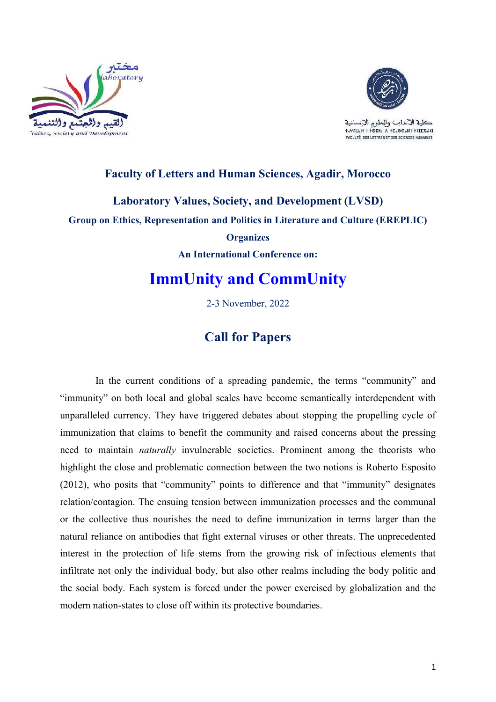



كلية الآخاب والملوم الإنسانية to YELLOH I TORHO A TEOGOOIEI TEIXXOIEI **FACULTÉ DES LETTRES ET DES SCIENCES HUMAINES** 

### **Faculty of Letters and Human Sciences, Agadir, Morocco**

**Laboratory Values, Society, and Development (LVSD) Group on Ethics, Representation and Politics in Literature and Culture (EREPLIC) Organizes An International Conference on:**

# **ImmUnity and CommUnity**

2-3 November, 2022

## **Call for Papers**

In the current conditions of a spreading pandemic, the terms "community" and "immunity" on both local and global scales have become semantically interdependent with unparalleled currency. They have triggered debates about stopping the propelling cycle of immunization that claims to benefit the community and raised concerns about the pressing need to maintain *naturally* invulnerable societies. Prominent among the theorists who highlight the close and problematic connection between the two notions is Roberto Esposito (2012), who posits that "community" points to difference and that "immunity" designates relation/contagion. The ensuing tension between immunization processes and the communal or the collective thus nourishes the need to define immunization in terms larger than the natural reliance on antibodies that fight external viruses or other threats. The unprecedented interest in the protection of life stems from the growing risk of infectious elements that infiltrate not only the individual body, but also other realms including the body politic and the social body. Each system is forced under the power exercised by globalization and the modern nation-states to close off within its protective boundaries.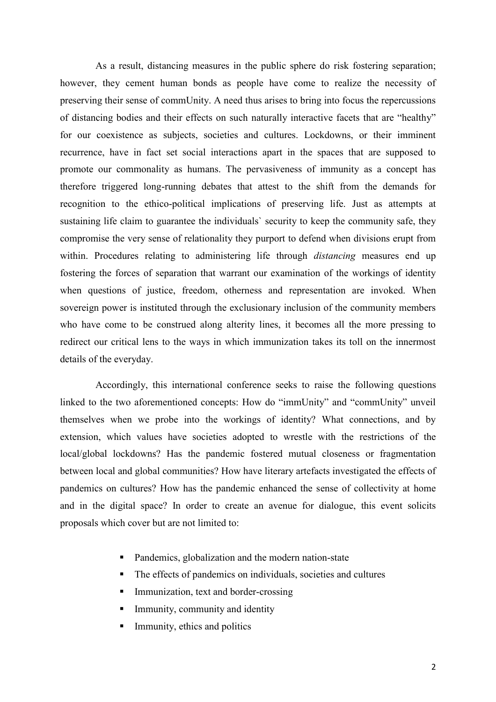As a result, distancing measures in the public sphere do risk fostering separation; however, they cement human bonds as people have come to realize the necessity of preserving their sense of commUnity. A need thus arises to bring into focus the repercussions of distancing bodies and their effects on such naturally interactive facets that are "healthy" for our coexistence as subjects, societies and cultures. Lockdowns, or their imminent recurrence, have in fact set social interactions apart in the spaces that are supposed to promote our commonality as humans. The pervasiveness of immunity as a concept has therefore triggered long-running debates that attest to the shift from the demands for recognition to the ethico-political implications of preserving life. Just as attempts at sustaining life claim to guarantee the individuals` security to keep the community safe, they compromise the very sense of relationality they purport to defend when divisions erupt from within. Procedures relating to administering life through *distancing* measures end up fostering the forces of separation that warrant our examination of the workings of identity when questions of justice, freedom, otherness and representation are invoked. When sovereign power is instituted through the exclusionary inclusion of the community members who have come to be construed along alterity lines, it becomes all the more pressing to redirect our critical lens to the ways in which immunization takes its toll on the innermost details of the everyday.

Accordingly, this international conference seeks to raise the following questions linked to the two aforementioned concepts: How do "immUnity" and "commUnity" unveil themselves when we probe into the workings of identity? What connections, and by extension, which values have societies adopted to wrestle with the restrictions of the local/global lockdowns? Has the pandemic fostered mutual closeness or fragmentation between local and global communities? How have literary artefacts investigated the effects of pandemics on cultures? How has the pandemic enhanced the sense of collectivity at home and in the digital space? In order to create an avenue for dialogue, this event solicits proposals which cover but are not limited to:

- Pandemics, globalization and the modern nation-state
- The effects of pandemics on individuals, societies and cultures
- Immunization, text and border-crossing
- Immunity, community and identity
- $\blacksquare$  Immunity, ethics and politics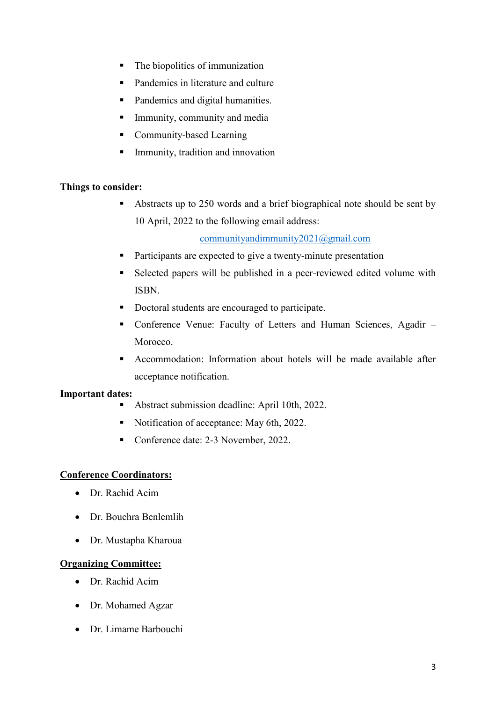- The biopolitics of immunization
- Pandemics in literature and culture
- Pandemics and digital humanities.
- **Immunity, community and media**
- **Community-based Learning**
- **Immunity, tradition and innovation**

#### **Things to consider:**

Abstracts up to 250 words and a brief biographical note should be sent by 10 April, 2022 to the following email address:

[communityandimmunity2021@gmail.com](mailto:communityandimmunity2021@gmail.com)

- **Participants are expected to give a twenty-minute presentation**
- Selected papers will be published in a peer-reviewed edited volume with ISBN.
- Doctoral students are encouraged to participate.
- Conference Venue: Faculty of Letters and Human Sciences, Agadir Morocco.
- Accommodation: Information about hotels will be made available after acceptance notification.

#### **Important dates:**

- Abstract submission deadline: April 10th, 2022.
- Notification of acceptance: May 6th, 2022.
- Conference date: 2-3 November, 2022.

#### **Conference Coordinators:**

- Dr. Rachid Acim
- Dr. Bouchra Benlemlih
- Dr. Mustapha Kharoua

#### **Organizing Committee:**

- Dr. Rachid Acim
- Dr. Mohamed Agzar
- Dr. Limame Barbouchi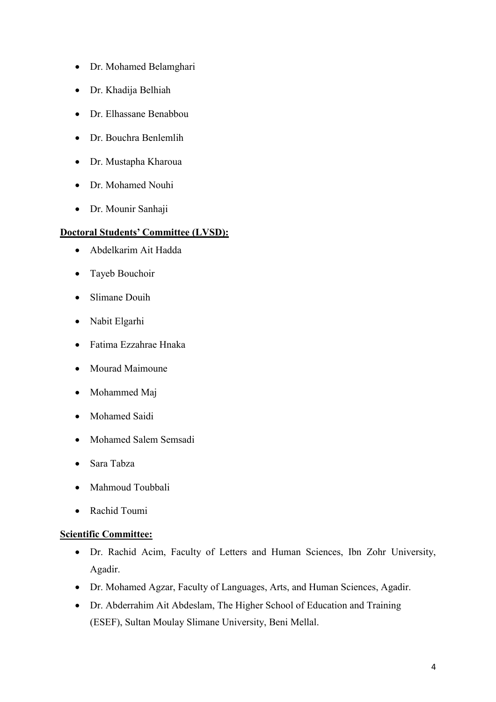- Dr. Mohamed Belamghari
- Dr. Khadija Belhiah
- Dr. Elhassane Benabbou
- Dr. Bouchra Benlemlih
- Dr. Mustapha Kharoua
- Dr. Mohamed Nouhi
- Dr. Mounir Sanhaji

#### **Doctoral Students' Committee (LVSD):**

- Abdelkarim Ait Hadda
- Tayeb Bouchoir
- Slimane Douih
- Nabit Elgarhi
- Fatima Ezzahrae Hnaka
- Mourad Maimoune
- Mohammed Maj
- Mohamed Saidi
- Mohamed Salem Semsadi
- Sara Tabza
- Mahmoud Toubbali
- Rachid Toumi

#### **Scientific Committee:**

- Dr. Rachid Acim, Faculty of Letters and Human Sciences, Ibn Zohr University, Agadir.
- Dr. Mohamed Agzar, Faculty of Languages, Arts, and Human Sciences, Agadir.
- Dr. Abderrahim Ait Abdeslam, The Higher School of Education and Training (ESEF), Sultan Moulay Slimane University, Beni Mellal.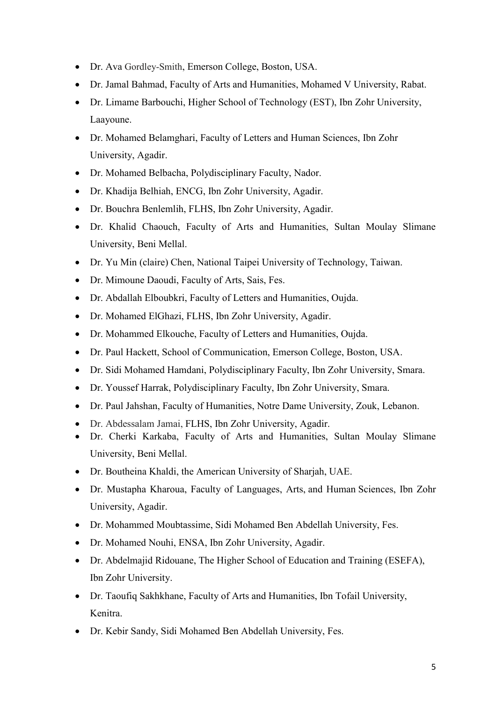- Dr. Ava Gordley-Smith, Emerson College, Boston, USA.
- Dr. Jamal Bahmad, Faculty of Arts and Humanities, Mohamed V University, Rabat.
- Dr. Limame Barbouchi, Higher School of Technology (EST), Ibn Zohr University, Laayoune.
- Dr. Mohamed Belamghari, Faculty of Letters and Human Sciences, Ibn Zohr University, Agadir.
- Dr. Mohamed Belbacha, Polydisciplinary Faculty, Nador.
- Dr. Khadija Belhiah, ENCG, Ibn Zohr University, Agadir.
- Dr. Bouchra Benlemlih, FLHS, Ibn Zohr University, Agadir.
- Dr. Khalid Chaouch, Faculty of Arts and Humanities, Sultan Moulay Slimane University, Beni Mellal.
- Dr. Yu Min (claire) Chen, National Taipei University of Technology, Taiwan.
- Dr. Mimoune Daoudi, Faculty of Arts, Sais, Fes.
- Dr. Abdallah Elboubkri, Faculty of Letters and Humanities, Oujda.
- Dr. Mohamed ElGhazi, FLHS, Ibn Zohr University, Agadir.
- Dr. Mohammed Elkouche, Faculty of Letters and Humanities, Oujda.
- Dr. Paul Hackett, School of Communication, Emerson College, Boston, USA.
- Dr. Sidi Mohamed Hamdani, Polydisciplinary Faculty, Ibn Zohr University, Smara.
- Dr. Youssef Harrak, Polydisciplinary Faculty, Ibn Zohr University, Smara.
- Dr. Paul Jahshan, Faculty of Humanities, Notre Dame University, Zouk, Lebanon.
- Dr. Abdessalam Jamai, FLHS, Ibn Zohr University, Agadir.
- Dr. Cherki Karkaba, Faculty of Arts and Humanities, Sultan Moulay Slimane University, Beni Mellal.
- Dr. Boutheina Khaldi, the American University of Sharjah, UAE.
- Dr. Mustapha Kharoua, Faculty of Languages, Arts, and Human Sciences, Ibn Zohr University, Agadir.
- Dr. Mohammed Moubtassime, Sidi Mohamed Ben Abdellah University, Fes.
- Dr. Mohamed Nouhi, ENSA, Ibn Zohr University, Agadir.
- Dr. Abdelmajid Ridouane, The Higher School of Education and Training (ESEFA), Ibn Zohr University.
- Dr. Taoufiq Sakhkhane, Faculty of Arts and Humanities, Ibn Tofail University, Kenitra.
- Dr. Kebir Sandy, Sidi Mohamed Ben Abdellah University, Fes.